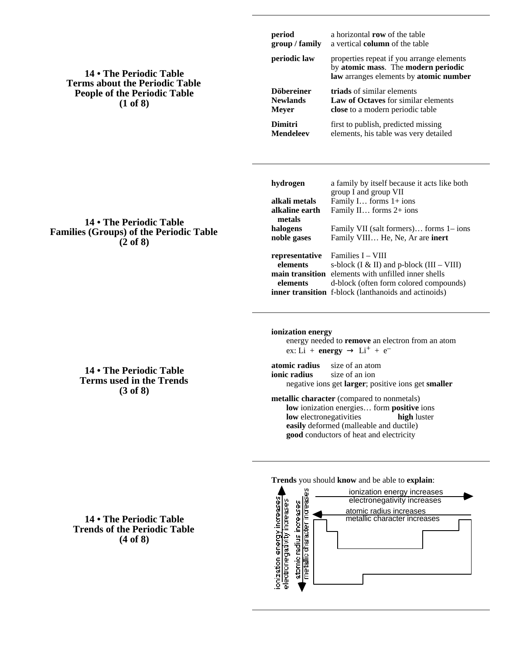## **14 • The Periodic Table Terms about the Periodic Table People of the Periodic Table (1 of 8)**

| group / family                                       | a vertical column of the table<br>properties repeat if you arrange elements<br>by atomic mass. The modern periodic<br>law arranges elements by atomic number<br>triads of similar elements<br>Law of Octaves for similar elements<br>close to a modern periodic table<br>first to publish, predicted missing<br>elements, his table was very detailed |  |  |  |  |  |  |
|------------------------------------------------------|-------------------------------------------------------------------------------------------------------------------------------------------------------------------------------------------------------------------------------------------------------------------------------------------------------------------------------------------------------|--|--|--|--|--|--|
| periodic law                                         |                                                                                                                                                                                                                                                                                                                                                       |  |  |  |  |  |  |
| <b>Döbereiner</b><br><b>Newlands</b><br><b>Meyer</b> |                                                                                                                                                                                                                                                                                                                                                       |  |  |  |  |  |  |
| <b>Dimitri</b><br><b>Mendeleev</b>                   |                                                                                                                                                                                                                                                                                                                                                       |  |  |  |  |  |  |
| hydrogen                                             | a family by itself because it acts like both<br>group I and group VII                                                                                                                                                                                                                                                                                 |  |  |  |  |  |  |
| alkali metals<br>alkaline earth<br>metals            | Family I forms 1+ ions<br>Family II forms 2+ ions                                                                                                                                                                                                                                                                                                     |  |  |  |  |  |  |
| halogens<br>noble gases                              | Family VII (salt formers) forms 1– ions<br>Family VIII He, Ne, Ar are inert                                                                                                                                                                                                                                                                           |  |  |  |  |  |  |
| representative<br>elements<br>elements               | Families I – VIII<br>s-block (I & II) and p-block (III – VIII)<br>main transition elements with unfilled inner shells<br>d-block (often form colored compounds)<br>inner transition f-block (lanthanoids and actinoids)                                                                                                                               |  |  |  |  |  |  |
| ionization energy<br>$ex: Li + energy$               | energy needed to remove an electron from an atom<br>$Li^{+} + e^{-}$                                                                                                                                                                                                                                                                                  |  |  |  |  |  |  |
| atomic radius<br>ionio nodius                        | size of an atom<br>$\frac{1}{2}$                                                                                                                                                                                                                                                                                                                      |  |  |  |  |  |  |

**period** a horizontal **row** of the table

**ionic radius** size of an ion negative ions get **larger**; positive ions get **smaller**

**metallic character** (compared to nonmetals) **low** ionization energies… form **positive** ions **low** electronegativities **high** luster **easily** deformed (malleable and ductile) **good** conductors of heat and electricity



**14 • The Periodic Table Families (Groups) of the Periodic Table (2 of 8)**

## **14 • The Periodic Table Terms used in the Trends (3 of 8)**

## **14 • The Periodic Table Trends of the Periodic Table (4 of 8)**